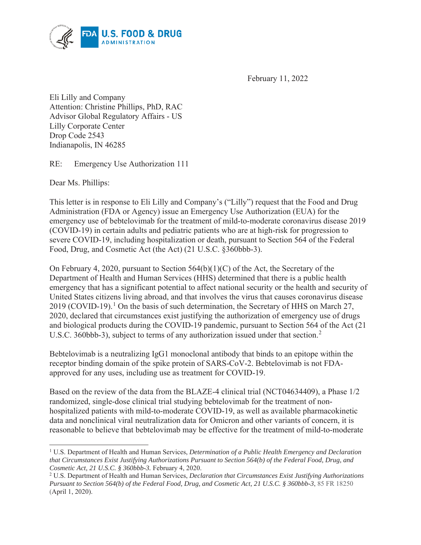

February 11, 2022

Eli Lilly and Company Attention: Christine Phillips, PhD, RAC Advisor Global Regulatory Affairs - US Lilly Corporate Center Drop Code 2543 Indianapolis, IN 46285

RE: Emergency Use Authorization 111

Dear Ms. Phillips:

This letter is in response to Eli Lilly and Company's ("Lilly") request that the Food and Drug Administration (FDA or Agency) issue an Emergency Use Authorization (EUA) for the emergency use of bebtelovimab for the treatment of mild-to-moderate coronavirus disease 2019 (COVID-19) in certain adults and pediatric patients who are at high-risk for progression to severe COVID-19, including hospitalization or death, pursuant to Section 564 of the Federal Food, Drug, and Cosmetic Act (the Act) (21 U.S.C. §360bbb-3).

On February 4, 2020, pursuant to Section 564(b)(1)(C) of the Act, the Secretary of the Department of Health and Human Services (HHS) determined that there is a public health emergency that has a significant potential to affect national security or the health and security of United States citizens living abroad, and that involves the virus that causes coronavirus disease 2019 (COVID-19).<sup>1</sup> On the basis of such determination, the Secretary of HHS on March 27, 2020, declared that circumstances exist justifying the authorization of emergency use of drugs and biological products during the COVID-19 pandemic, pursuant to Section 564 of the Act (21 U.S.C. 360bbb-3), subject to terms of any authorization issued under that section.<sup>2</sup>

Bebtelovimab is a neutralizing IgG1 monoclonal antibody that binds to an epitope within the receptor binding domain of the spike protein of SARS-CoV-2. Bebtelovimab is not FDAapproved for any uses, including use as treatment for COVID-19.

Based on the review of the data from the BLAZE-4 clinical trial (NCT04634409), a Phase 1/2 randomized, single-dose clinical trial studying bebtelovimab for the treatment of nonhospitalized patients with mild-to-moderate COVID-19, as well as available pharmacokinetic data and nonclinical viral neutralization data for Omicron and other variants of concern, it is reasonable to believe that bebtelovimab may be effective for the treatment of mild-to-moderate

<sup>&</sup>lt;sup>1</sup> U.S. Department of Health and Human Services, *Determination of a Public Health Emergency and Declaration that Circumstances Exist Justifying Authorizations Pursuant to Section 564(b) of the Federal Food, Drug, and Cosmetic Act, 21 U.S.C. § 360bbb-3.* February 4, 2020. 2

U.S. Department of Health and Human Services, *Declaration that Circumstances Exist Justifying Authorizations Pursuant to Section 564(b) of the Federal Food, Drug, and Cosmetic Act, 21 U.S.C. § 360bbb-3*, 85 FR 18250 (April 1, 2020).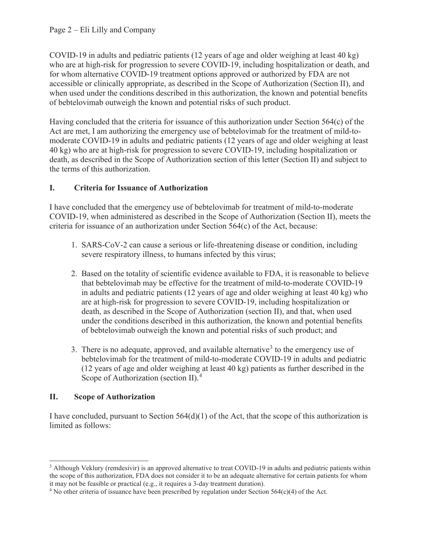COVID-19 in adults and pediatric patients (12 years of age and older weighing at least 40 kg) who are at high-risk for progression to severe COVID-19, including hospitalization or death, and for whom alternative COVID-19 treatment options approved or authorized by FDA are not accessible or clinically appropriate, as described in the Scope of Authorization (Section II), and when used under the conditions described in this authorization, the known and potential benefits of bebtelovimab outweigh the known and potential risks of such product.

Having concluded that the criteria for issuance of this authorization under Section 564(c) of the Act are met, I am authorizing the emergency use of bebtelovimab for the treatment of mild-tomoderate COVID-19 in adults and pediatric patients (12 years of age and older weighing at least 40 kg) who are at high-risk for progression to severe COVID-19, including hospitalization or death, as described in the Scope of Authorization section of this letter (Section II) and subject to the terms of this authorization.

# **I. Criteria for Issuance of Authorization**

I have concluded that the emergency use of bebtelovimab for treatment of mild-to-moderate COVID-19, when administered as described in the Scope of Authorization (Section II), meets the criteria for issuance of an authorization under Section 564(c) of the Act, because:

- 1. SARS-CoV-2 can cause a serious or life-threatening disease or condition, including severe respiratory illness, to humans infected by this virus;
- 2. Based on the totality of scientific evidence available to FDA, it is reasonable to believe that bebtelovimab may be effective for the treatment of mild-to-moderate COVID-19 in adults and pediatric patients (12 years of age and older weighing at least 40 kg) who are at high-risk for progression to severe COVID-19, including hospitalization or death, as described in the Scope of Authorization (section II), and that, when used under the conditions described in this authorization, the known and potential benefits of bebtelovimab outweigh the known and potential risks of such product; and
- 3. There is no adequate, approved, and available alternative<sup>3</sup> to the emergency use of bebtelovimab for the treatment of mild-to-moderate COVID-19 in adults and pediatric (12 years of age and older weighing at least 40 kg) patients as further described in the Scope of Authorization (section II).<sup>4</sup>

# **II. Scope of Authorization**

I have concluded, pursuant to Section  $564(d)(1)$  of the Act, that the scope of this authorization is limited as follows:

<sup>&</sup>lt;sup>3</sup> Although Veklury (remdesivir) is an approved alternative to treat COVID-19 in adults and pediatric patients within the scope of this authorization, FDA does not consider it to be an adequate alternative for certain patients for whom it may not be feasible or practical (e.g., it requires a 3-day treatment duration). 4

<sup>&</sup>lt;sup>4</sup> No other criteria of issuance have been prescribed by regulation under Section  $564(c)(4)$  of the Act.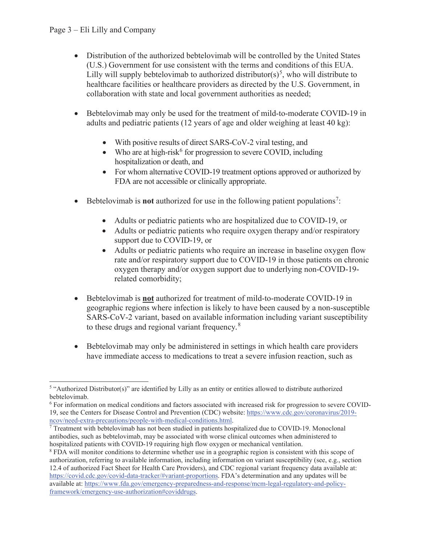- Distribution of the authorized bebtelovimab will be controlled by the United States (U.S.) Government for use consistent with the terms and conditions of this EUA. Lilly will supply bebtelovimab to authorized distributor(s)<sup>5</sup>, who will distribute to healthcare facilities or healthcare providers as directed by the U.S. Government, in collaboration with state and local government authorities as needed;
- Bebtelovimab may only be used for the treatment of mild-to-moderate COVID-19 in adults and pediatric patients (12 years of age and older weighing at least 40 kg):
	- $\bullet$  With positive results of direct SARS-CoV-2 viral testing, and
	- Who are at high-risk<sup>6</sup> for progression to severe COVID, including hospitalization or death, and
	- For whom alternative COVID-19 treatment options approved or authorized by FDA are not accessible or clinically appropriate.
- Bebtelovimab is **not** authorized for use in the following patient populations<sup>7</sup>:
	- Adults or pediatric patients who are hospitalized due to COVID-19, or
	- Adults or pediatric patients who require oxygen therapy and/or respiratory support due to COVID-19, or
	- Adults or pediatric patients who require an increase in baseline oxygen flow rate and/or respiratory support due to COVID-19 in those patients on chronic oxygen therapy and/or oxygen support due to underlying non-COVID-19 related comorbidity;
- x Bebtelovimab is **not** authorized for treatment of mild-to-moderate COVID-19 in geographic regions where infection is likely to have been caused by a non-susceptible SARS-CoV-2 variant, based on available information including variant susceptibility to these drugs and regional variant frequency*.* 8
- Bebtelovimab may only be administered in settings in which health care providers have immediate access to medications to treat a severe infusion reaction, such as

<sup>5</sup> "Authorized Distributor(s)" are identified by Lilly as an entity or entities allowed to distribute authorized bebtelovimab.

<sup>&</sup>lt;sup>6</sup> For information on medical conditions and factors associated with increased risk for progression to severe COVID-19, see the Centers for Disease Control and Prevention (CDC) website: https://www.cdc.gov/coronavirus/2019 ncov/need-extra-precautions/people-with-medical-conditions.html. 7

<sup>&</sup>lt;sup>7</sup> Treatment with bebtelovimab has not been studied in patients hospitalized due to COVID-19. Monoclonal antibodies, such as bebtelovimab, may be associated with worse clinical outcomes when administered to hospitalized patients with COVID-19 requiring high flow oxygen or mechanical ventilation.

<sup>&</sup>lt;sup>8</sup> FDA will monitor conditions to determine whether use in a geographic region is consistent with this scope of authorization, referring to available information, including information on variant susceptibility (see, e.g., section 12.4 of authorized Fact Sheet for Health Care Providers), and CDC regional variant frequency data available at: https://covid.cdc.gov/covid-data-tracker/#variant-proportions. FDA's determination and any updates will be available at: https://www.fda.gov/emergency-preparedness-and-response/mcm-legal-regulatory-and-policyframework/emergency-use-authorization#coviddrugs.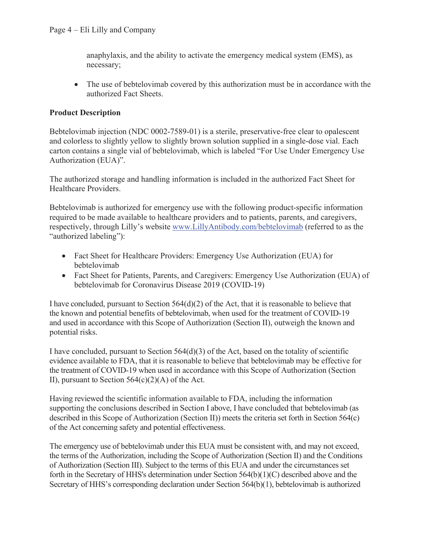anaphylaxis, and the ability to activate the emergency medical system (EMS), as necessary;

• The use of bebtelovimab covered by this authorization must be in accordance with the authorized Fact Sheets.

#### **Product Description**

Bebtelovimab injection (NDC 0002-7589-01) is a sterile, preservative-free clear to opalescent and colorless to slightly yellow to slightly brown solution supplied in a single-dose vial. Each carton contains a single vial of bebtelovimab, which is labeled "For Use Under Emergency Use Authorization (EUA)".

The authorized storage and handling information is included in the authorized Fact Sheet for Healthcare Providers.

Bebtelovimab is authorized for emergency use with the following product-specific information required to be made available to healthcare providers and to patients, parents, and caregivers, respectively, through Lilly's website www.LillyAntibody.com/bebtelovimab (referred to as the "authorized labeling"):

- Fact Sheet for Healthcare Providers: Emergency Use Authorization (EUA) for bebtelovimab
- Fact Sheet for Patients, Parents, and Caregivers: Emergency Use Authorization (EUA) of bebtelovimab for Coronavirus Disease 2019 (COVID-19)

I have concluded, pursuant to Section  $564(d)(2)$  of the Act, that it is reasonable to believe that the known and potential benefits of bebtelovimab, when used for the treatment of COVID-19 and used in accordance with this Scope of Authorization (Section II), outweigh the known and potential risks.

I have concluded, pursuant to Section 564(d)(3) of the Act, based on the totality of scientific evidence available to FDA, that it is reasonable to believe that bebtelovimab may be effective for the treatment of COVID-19 when used in accordance with this Scope of Authorization (Section II), pursuant to Section  $564(c)(2)(A)$  of the Act.

Having reviewed the scientific information available to FDA, including the information supporting the conclusions described in Section I above, I have concluded that bebtelovimab (as described in this Scope of Authorization (Section II)) meets the criteria set forth in Section 564(c) of the Act concerning safety and potential effectiveness.

The emergency use of bebtelovimab under this EUA must be consistent with, and may not exceed, the terms of the Authorization, including the Scope of Authorization (Section II) and the Conditions of Authorization (Section III). Subject to the terms of this EUA and under the circumstances set forth in the Secretary of HHS's determination under Section 564(b)(1)(C) described above and the Secretary of HHS's corresponding declaration under Section 564(b)(1), bebtelovimab is authorized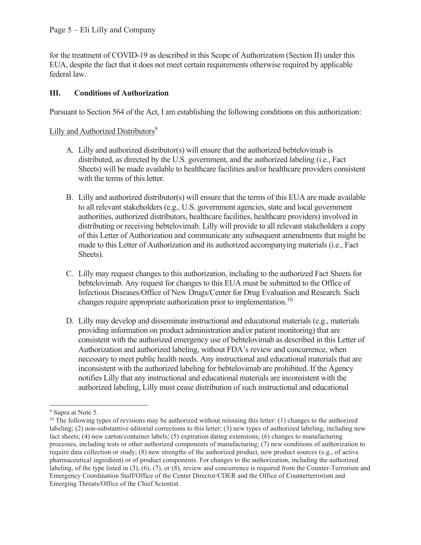for the treatment of COVID-19 as described in this Scope of Authorization (Section II) under this EUA, despite the fact that it does not meet certain requirements otherwise required by applicable federal law.

## **III. Conditions of Authorization**

Pursuant to Section 564 of the Act, I am establishing the following conditions on this authorization:

### Lilly and Authorized Distributors<sup>9</sup>

- A. Lilly and authorized distributor(s) will ensure that the authorized bebtelovimab is distributed, as directed by the U.S. government, and the authorized labeling (i.e., Fact Sheets) will be made available to healthcare facilities and/or healthcare providers consistent with the terms of this letter.
- B. Lilly and authorized distributor(s) will ensure that the terms of this EUA are made available to all relevant stakeholders (e.g., U.S. government agencies, state and local government authorities, authorized distributors, healthcare facilities, healthcare providers) involved in distributing or receiving bebtelovimab. Lilly will provide to all relevant stakeholders a copy of this Letter of Authorization and communicate any subsequent amendments that might be made to this Letter of Authorization and its authorized accompanying materials (i.e., Fact Sheets).
- C. Lilly may request changes to this authorization, including to the authorized Fact Sheets for bebtelovimab. Any request for changes to this EUA must be submitted to the Office of Infectious Diseases/Office of New Drugs/Center for Drug Evaluation and Research. Such changes require appropriate authorization prior to implementation.<sup>10</sup>
- D. Lilly may develop and disseminate instructional and educational materials (e.g., materials providing information on product administration and/or patient monitoring) that are consistent with the authorized emergency use of bebtelovimab as described in this Letter of Authorization and authorized labeling, without FDA's review and concurrence, when necessary to meet public health needs. Any instructional and educational materials that are inconsistent with the authorized labeling for bebtelovimab are prohibited. If the Agency notifies Lilly that any instructional and educational materials are inconsistent with the authorized labeling, Lilly must cease distribution of such instructional and educational

<sup>&</sup>lt;sup>9</sup> Supra at Note 5.

 $10$  The following types of revisions may be authorized without reissuing this letter: (1) changes to the authorized labeling; (2) non-substantive editorial corrections to this letter; (3) new types of authorized labeling, including new fact sheets; (4) new carton/container labels; (5) expiration dating extensions; (6) changes to manufacturing processes, including tests or other authorized components of manufacturing; (7) new conditions of authorization to require data collection or study; (8) new strengths of the authorized product, new product sources (e.g., of active pharmaceutical ingredient) or of product components. For changes to the authorization, including the authorized labeling, of the type listed in (3), (6), (7), or (8), review and concurrence is required from the Counter-Terrorism and Emergency Coordination Staff/Office of the Center Director/CDER and the Office of Counterterrorism and Emerging Threats/Office of the Chief Scientist.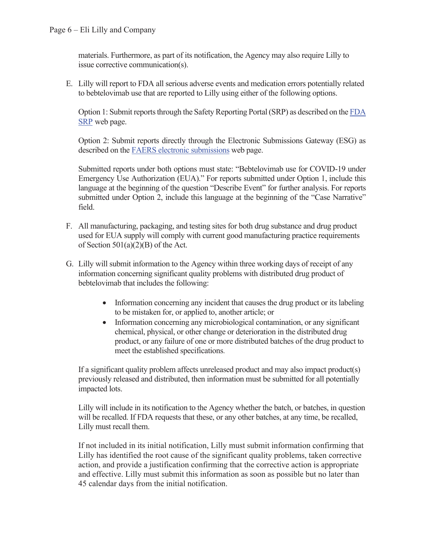materials. Furthermore, as part of its notification, the Agency may also require Lilly to issue corrective communication(s).

E. Lilly will report to FDA all serious adverse events and medication errors potentially related to bebtelovimab use that are reported to Lilly using either of the following options.

Option 1: Submit reports through the Safety Reporting Portal (SRP) as described on the FDA SRP web page.

Option 2: Submit reports directly through the Electronic Submissions Gateway (ESG) as described on the FAERS electronic submissions web page.

Submitted reports under both options must state: "Bebtelovimab use for COVID-19 under Emergency Use Authorization (EUA)." For reports submitted under Option 1, include this language at the beginning of the question "Describe Event" for further analysis. For reports submitted under Option 2, include this language at the beginning of the "Case Narrative" field.

- F. All manufacturing, packaging, and testing sites for both drug substance and drug product used for EUA supply will comply with current good manufacturing practice requirements of Section 501(a)(2)(B) of the Act.
- G. Lilly will submit information to the Agency within three working days of receipt of any information concerning significant quality problems with distributed drug product of bebtelovimab that includes the following:
	- Information concerning any incident that causes the drug product or its labeling to be mistaken for, or applied to, another article; or
	- $\bullet$  Information concerning any microbiological contamination, or any significant chemical, physical, or other change or deterioration in the distributed drug product, or any failure of one or more distributed batches of the drug product to meet the established specifications.

If a significant quality problem affects unreleased product and may also impact product(s) previously released and distributed, then information must be submitted for all potentially impacted lots.

Lilly will include in its notification to the Agency whether the batch, or batches, in question will be recalled. If FDA requests that these, or any other batches, at any time, be recalled, Lilly must recall them.

If not included in its initial notification, Lilly must submit information confirming that Lilly has identified the root cause of the significant quality problems, taken corrective action, and provide a justification confirming that the corrective action is appropriate and effective. Lilly must submit this information as soon as possible but no later than 45 calendar days from the initial notification.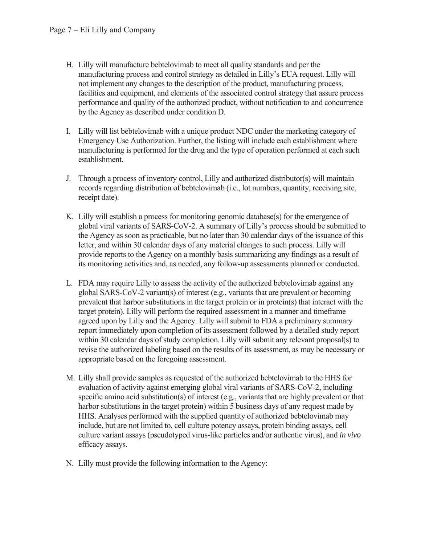- H. Lilly will manufacture bebtelovimab to meet all quality standards and per the manufacturing process and control strategy as detailed in Lilly's EUA request. Lilly will not implement any changes to the description of the product, manufacturing process, facilities and equipment, and elements of the associated control strategy that assure process performance and quality of the authorized product, without notification to and concurrence by the Agency as described under condition D.
- I. Lilly will list bebtelovimab with a unique product NDC under the marketing category of Emergency Use Authorization. Further, the listing will include each establishment where manufacturing is performed for the drug and the type of operation performed at each such establishment.
- J. Through a process of inventory control, Lilly and authorized distributor(s) will maintain records regarding distribution of bebtelovimab (i.e., lot numbers, quantity, receiving site, receipt date).
- K. Lilly will establish a process for monitoring genomic database(s) for the emergence of global viral variants of SARS-CoV-2. A summary of Lilly's process should be submitted to the Agency as soon as practicable, but no later than 30 calendar days of the issuance of this letter, and within 30 calendar days of any material changes to such process. Lilly will provide reports to the Agency on a monthly basis summarizing any findings as a result of its monitoring activities and, as needed, any follow-up assessments planned or conducted.
- L. FDA may require Lilly to assess the activity of the authorized bebtelovimab against any global SARS-CoV-2 variant(s) of interest (e.g., variants that are prevalent or becoming prevalent that harbor substitutions in the target protein or in protein(s) that interact with the target protein). Lilly will perform the required assessment in a manner and timeframe agreed upon by Lilly and the Agency. Lilly will submit to FDA a preliminary summary report immediately upon completion of its assessment followed by a detailed study report within 30 calendar days of study completion. Lilly will submit any relevant proposal(s) to revise the authorized labeling based on the results of its assessment, as may be necessary or appropriate based on the foregoing assessment.
- M. Lilly shall provide samples as requested of the authorized bebtelovimab to the HHS for evaluation of activity against emerging global viral variants of SARS-CoV-2, including specific amino acid substitution(s) of interest (e.g., variants that are highly prevalent or that harbor substitutions in the target protein) within 5 business days of any request made by HHS. Analyses performed with the supplied quantity of authorized bebtelovimab may include, but are not limited to, cell culture potency assays, protein binding assays, cell culture variant assays (pseudotyped virus-like particles and/or authentic virus), and *in vivo* efficacy assays.
- N. Lilly must provide the following information to the Agency: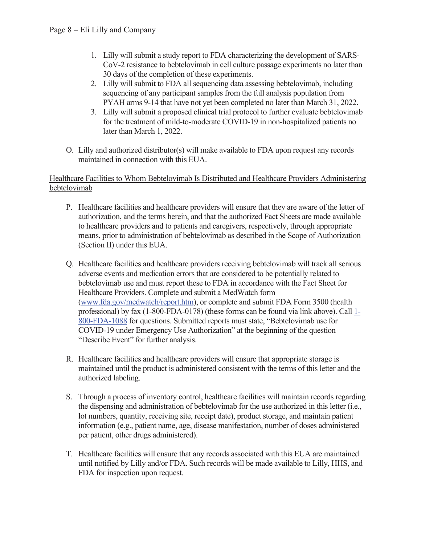- 1. Lilly will submit a study report to FDA characterizing the development of SARS-CoV-2 resistance to bebtelovimab in cell culture passage experiments no later than 30 days of the completion of these experiments.
- 2. Lilly will submit to FDA all sequencing data assessing bebtelovimab, including sequencing of any participant samples from the full analysis population from PYAH arms 9-14 that have not yet been completed no later than March 31, 2022.
- 3. Lilly will submit a proposed clinical trial protocol to further evaluate bebtelovimab for the treatment of mild-to-moderate COVID-19 in non-hospitalized patients no later than March 1, 2022.
- O. Lilly and authorized distributor(s) will make available to FDA upon request any records maintained in connection with this EUA.

#### Healthcare Facilities to Whom Bebtelovimab Is Distributed and Healthcare Providers Administering bebtelovimab

- P. Healthcare facilities and healthcare providers will ensure that they are aware of the letter of authorization, and the terms herein, and that the authorized Fact Sheets are made available to healthcare providers and to patients and caregivers, respectively, through appropriate means, prior to administration of bebtelovimab as described in the Scope of Authorization (Section II) under this EUA.
- Q. Healthcare facilities and healthcare providers receiving bebtelovimab will track all serious adverse events and medication errors that are considered to be potentially related to bebtelovimab use and must report these to FDA in accordance with the Fact Sheet for Healthcare Providers. Complete and submit a MedWatch form (www.fda.gov/medwatch/report.htm), or complete and submit FDA Form 3500 (health professional) by fax (1-800-FDA-0178) (these forms can be found via link above). Call 1- 800-FDA-1088 for questions. Submitted reports must state, "Bebtelovimab use for COVID-19 under Emergency Use Authorization" at the beginning of the question "Describe Event" for further analysis.
- R. Healthcare facilities and healthcare providers will ensure that appropriate storage is maintained until the product is administered consistent with the terms of this letter and the authorized labeling.
- S. Through a process of inventory control, healthcare facilities will maintain records regarding the dispensing and administration of bebtelovimab for the use authorized in this letter (i.e., lot numbers, quantity, receiving site, receipt date), product storage, and maintain patient information (e.g., patient name, age, disease manifestation, number of doses administered per patient, other drugs administered).
- T. Healthcare facilities will ensure that any records associated with this EUA are maintained until notified by Lilly and/or FDA. Such records will be made available to Lilly, HHS, and FDA for inspection upon request.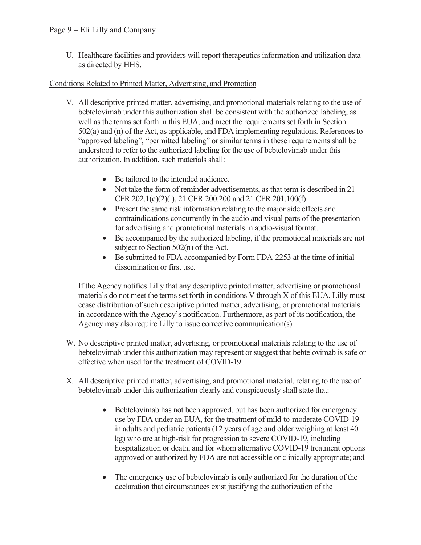U. Healthcare facilities and providers will report therapeutics information and utilization data as directed by HHS.

#### Conditions Related to Printed Matter, Advertising, and Promotion

- V. All descriptive printed matter, advertising, and promotional materials relating to the use of bebtelovimab under this authorization shall be consistent with the authorized labeling, as well as the terms set forth in this EUA, and meet the requirements set forth in Section 502(a) and (n) of the Act, as applicable, and FDA implementing regulations. References to "approved labeling", "permitted labeling" or similar terms in these requirements shall be understood to refer to the authorized labeling for the use of bebtelovimab under this authorization. In addition, such materials shall:
	- Be tailored to the intended audience.
	- Not take the form of reminder advertisements, as that term is described in 21 CFR 202.1(e)(2)(i), 21 CFR 200.200 and 21 CFR 201.100(f).
	- Present the same risk information relating to the major side effects and contraindications concurrently in the audio and visual parts of the presentation for advertising and promotional materials in audio-visual format.
	- Be accompanied by the authorized labeling, if the promotional materials are not subject to Section 502(n) of the Act.
	- Be submitted to FDA accompanied by Form FDA-2253 at the time of initial dissemination or first use.

If the Agency notifies Lilly that any descriptive printed matter, advertising or promotional materials do not meet the terms set forth in conditions V through X of this EUA, Lilly must cease distribution of such descriptive printed matter, advertising, or promotional materials in accordance with the Agency's notification. Furthermore, as part of its notification, the Agency may also require Lilly to issue corrective communication(s).

- W. No descriptive printed matter, advertising, or promotional materials relating to the use of bebtelovimab under this authorization may represent or suggest that bebtelovimab is safe or effective when used for the treatment of COVID-19.
- X. All descriptive printed matter, advertising, and promotional material, relating to the use of bebtelovimab under this authorization clearly and conspicuously shall state that:
	- Bebtelovimab has not been approved, but has been authorized for emergency use by FDA under an EUA, for the treatment of mild-to-moderate COVID-19 in adults and pediatric patients (12 years of age and older weighing at least 40 kg) who are at high-risk for progression to severe COVID-19, including hospitalization or death, and for whom alternative COVID-19 treatment options approved or authorized by FDA are not accessible or clinically appropriate; and
	- The emergency use of bebtelovimab is only authorized for the duration of the declaration that circumstances exist justifying the authorization of the